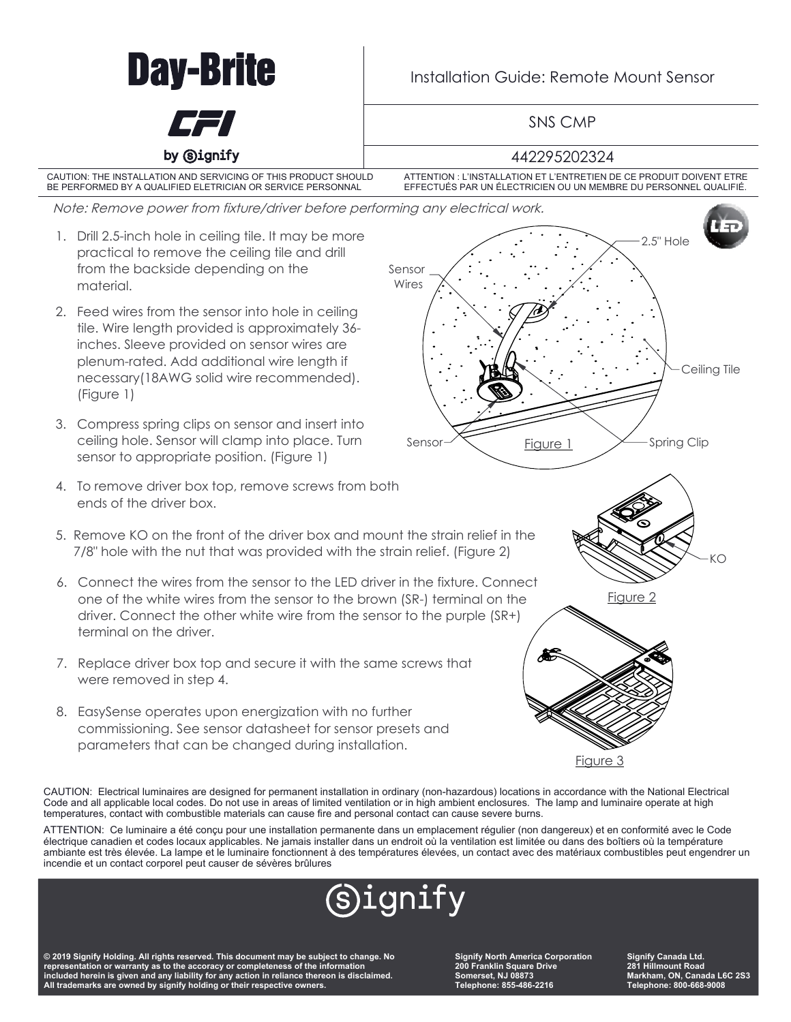

ATTENTION: Ce luminaire a été conçu pour une installation permanente dans un emplacement régulier (non dangereux) et en conformité avec le Code électrique canadien et codes locaux applicables. Ne jamais installer dans un endroit où la ventilation est limitée ou dans des boîtiers où la température ambiante est très élevée. La lampe et le luminaire fonctionnent à des températures élevées, un contact avec des matériaux combustibles peut engendrer un incendie et un contact corporel peut causer de sévères brûlures



**© 2019 Signify Holding. All rights reserved. This document may be subject to change. No representation or warranty as to the accoracy or completeness of the information included herein is given and any liability for any action in reliance thereon is disclaimed. All trademarks are owned by signify holding or their respective owners.** 

**Signify North America Corporation 200 Franklin Square Drive Somerset, NJ 08873 Telephone: 855-486-2216**

**Signify Canada Ltd. 281 Hillmount Road Markham, ON, Canada L6C 2S3 Telephone: 800-668-9008**